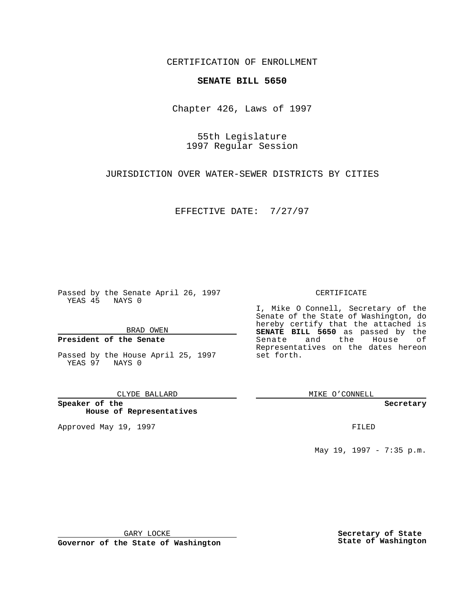CERTIFICATION OF ENROLLMENT

# **SENATE BILL 5650**

Chapter 426, Laws of 1997

55th Legislature 1997 Regular Session

JURISDICTION OVER WATER-SEWER DISTRICTS BY CITIES

EFFECTIVE DATE: 7/27/97

Passed by the Senate April 26, 1997 YEAS 45 NAYS 0

BRAD OWEN

### **President of the Senate**

Passed by the House April 25, 1997 YEAS 97 NAYS 0

CLYDE BALLARD

**Speaker of the House of Representatives**

Approved May 19, 1997 **FILED** 

### CERTIFICATE

I, Mike O Connell, Secretary of the Senate of the State of Washington, do hereby certify that the attached is **SENATE BILL 5650** as passed by the Senate and the House of Representatives on the dates hereon set forth.

MIKE O'CONNELL

#### **Secretary**

May 19, 1997 - 7:35 p.m.

GARY LOCKE

**Governor of the State of Washington**

**Secretary of State State of Washington**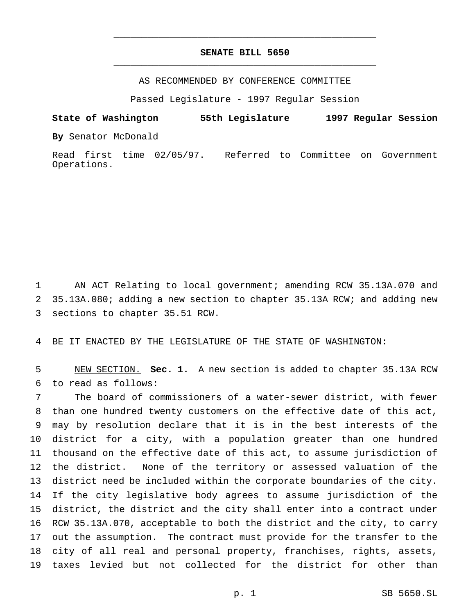## **SENATE BILL 5650** \_\_\_\_\_\_\_\_\_\_\_\_\_\_\_\_\_\_\_\_\_\_\_\_\_\_\_\_\_\_\_\_\_\_\_\_\_\_\_\_\_\_\_\_\_\_\_

\_\_\_\_\_\_\_\_\_\_\_\_\_\_\_\_\_\_\_\_\_\_\_\_\_\_\_\_\_\_\_\_\_\_\_\_\_\_\_\_\_\_\_\_\_\_\_

AS RECOMMENDED BY CONFERENCE COMMITTEE

Passed Legislature - 1997 Regular Session

**State of Washington 55th Legislature 1997 Regular Session**

**By** Senator McDonald

Read first time 02/05/97. Referred to Committee on Government Operations.

 AN ACT Relating to local government; amending RCW 35.13A.070 and 35.13A.080; adding a new section to chapter 35.13A RCW; and adding new sections to chapter 35.51 RCW.

BE IT ENACTED BY THE LEGISLATURE OF THE STATE OF WASHINGTON:

 NEW SECTION. **Sec. 1.** A new section is added to chapter 35.13A RCW to read as follows:

 The board of commissioners of a water-sewer district, with fewer than one hundred twenty customers on the effective date of this act, may by resolution declare that it is in the best interests of the district for a city, with a population greater than one hundred thousand on the effective date of this act, to assume jurisdiction of the district. None of the territory or assessed valuation of the district need be included within the corporate boundaries of the city. If the city legislative body agrees to assume jurisdiction of the district, the district and the city shall enter into a contract under RCW 35.13A.070, acceptable to both the district and the city, to carry out the assumption. The contract must provide for the transfer to the city of all real and personal property, franchises, rights, assets, taxes levied but not collected for the district for other than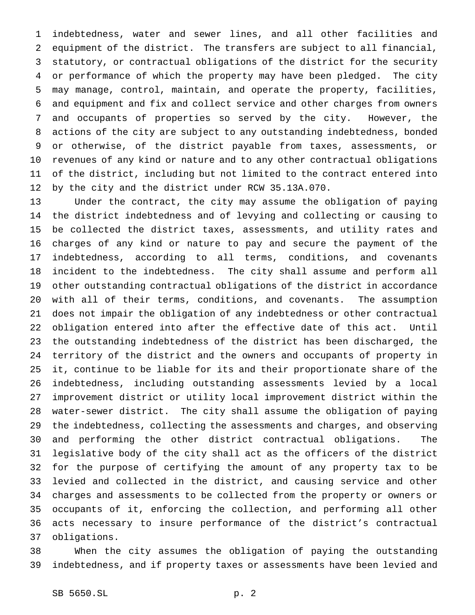indebtedness, water and sewer lines, and all other facilities and equipment of the district. The transfers are subject to all financial, statutory, or contractual obligations of the district for the security or performance of which the property may have been pledged. The city may manage, control, maintain, and operate the property, facilities, and equipment and fix and collect service and other charges from owners and occupants of properties so served by the city. However, the actions of the city are subject to any outstanding indebtedness, bonded or otherwise, of the district payable from taxes, assessments, or revenues of any kind or nature and to any other contractual obligations of the district, including but not limited to the contract entered into by the city and the district under RCW 35.13A.070.

 Under the contract, the city may assume the obligation of paying the district indebtedness and of levying and collecting or causing to be collected the district taxes, assessments, and utility rates and charges of any kind or nature to pay and secure the payment of the indebtedness, according to all terms, conditions, and covenants incident to the indebtedness. The city shall assume and perform all other outstanding contractual obligations of the district in accordance with all of their terms, conditions, and covenants. The assumption does not impair the obligation of any indebtedness or other contractual obligation entered into after the effective date of this act. Until the outstanding indebtedness of the district has been discharged, the territory of the district and the owners and occupants of property in it, continue to be liable for its and their proportionate share of the indebtedness, including outstanding assessments levied by a local improvement district or utility local improvement district within the water-sewer district. The city shall assume the obligation of paying the indebtedness, collecting the assessments and charges, and observing and performing the other district contractual obligations. The legislative body of the city shall act as the officers of the district for the purpose of certifying the amount of any property tax to be levied and collected in the district, and causing service and other charges and assessments to be collected from the property or owners or occupants of it, enforcing the collection, and performing all other acts necessary to insure performance of the district's contractual obligations.

 When the city assumes the obligation of paying the outstanding indebtedness, and if property taxes or assessments have been levied and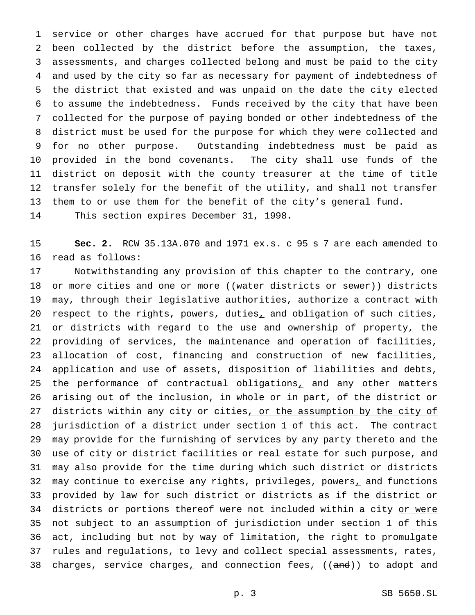service or other charges have accrued for that purpose but have not been collected by the district before the assumption, the taxes, assessments, and charges collected belong and must be paid to the city and used by the city so far as necessary for payment of indebtedness of the district that existed and was unpaid on the date the city elected to assume the indebtedness. Funds received by the city that have been collected for the purpose of paying bonded or other indebtedness of the district must be used for the purpose for which they were collected and for no other purpose. Outstanding indebtedness must be paid as provided in the bond covenants. The city shall use funds of the district on deposit with the county treasurer at the time of title transfer solely for the benefit of the utility, and shall not transfer them to or use them for the benefit of the city's general fund.

This section expires December 31, 1998.

 **Sec. 2.** RCW 35.13A.070 and 1971 ex.s. c 95 s 7 are each amended to read as follows:

 Notwithstanding any provision of this chapter to the contrary, one 18 or more cities and one or more ((water districts or sewer)) districts may, through their legislative authorities, authorize a contract with respect to the rights, powers, duties, and obligation of such cities, or districts with regard to the use and ownership of property, the providing of services, the maintenance and operation of facilities, allocation of cost, financing and construction of new facilities, application and use of assets, disposition of liabilities and debts, 25 the performance of contractual obligations, and any other matters arising out of the inclusion, in whole or in part, of the district or 27 districts within any city or cities, or the assumption by the city of 28 jurisdiction of a district under section 1 of this act. The contract may provide for the furnishing of services by any party thereto and the use of city or district facilities or real estate for such purpose, and may also provide for the time during which such district or districts 32 may continue to exercise any rights, privileges, powers, and functions provided by law for such district or districts as if the district or 34 districts or portions thereof were not included within a city or were not subject to an assumption of jurisdiction under section 1 of this 36 act, including but not by way of limitation, the right to promulgate rules and regulations, to levy and collect special assessments, rates, 38 charges, service charges, and connection fees, ((and)) to adopt and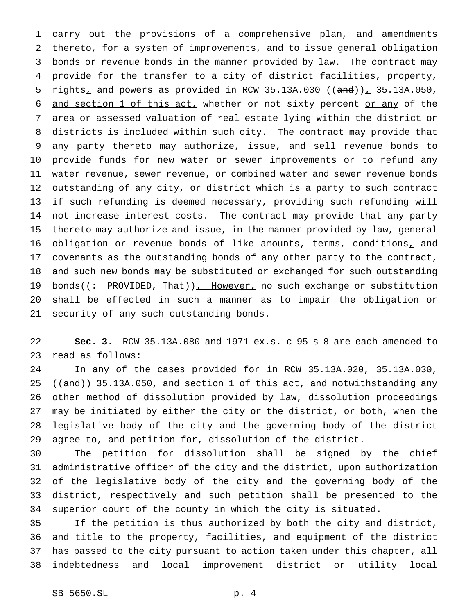carry out the provisions of a comprehensive plan, and amendments 2 thereto, for a system of improvements<sub> $L$ </sub> and to issue general obligation bonds or revenue bonds in the manner provided by law. The contract may provide for the transfer to a city of district facilities, property, 5 rights<sub>1</sub> and powers as provided in RCW 35.13A.030 (( $\text{and}$ ))<sub>1</sub> 35.13A.050, 6 and section 1 of this act, whether or not sixty percent or any of the area or assessed valuation of real estate lying within the district or districts is included within such city. The contract may provide that any party thereto may authorize, issue, and sell revenue bonds to provide funds for new water or sewer improvements or to refund any 11 water revenue, sewer revenue, or combined water and sewer revenue bonds outstanding of any city, or district which is a party to such contract if such refunding is deemed necessary, providing such refunding will not increase interest costs. The contract may provide that any party thereto may authorize and issue, in the manner provided by law, general 16 obligation or revenue bonds of like amounts, terms, conditions, and covenants as the outstanding bonds of any other party to the contract, and such new bonds may be substituted or exchanged for such outstanding 19 bonds((: PROVIDED, That)). However, no such exchange or substitution shall be effected in such a manner as to impair the obligation or security of any such outstanding bonds.

 **Sec. 3.** RCW 35.13A.080 and 1971 ex.s. c 95 s 8 are each amended to read as follows:

 In any of the cases provided for in RCW 35.13A.020, 35.13A.030, 25 ((and)) 35.13A.050, and section 1 of this act, and notwithstanding any other method of dissolution provided by law, dissolution proceedings may be initiated by either the city or the district, or both, when the legislative body of the city and the governing body of the district agree to, and petition for, dissolution of the district.

 The petition for dissolution shall be signed by the chief administrative officer of the city and the district, upon authorization of the legislative body of the city and the governing body of the district, respectively and such petition shall be presented to the superior court of the county in which the city is situated.

 If the petition is thus authorized by both the city and district, 36 and title to the property, facilities, and equipment of the district has passed to the city pursuant to action taken under this chapter, all indebtedness and local improvement district or utility local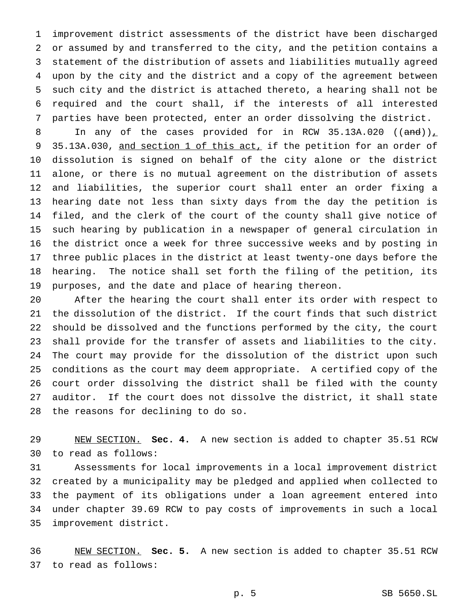improvement district assessments of the district have been discharged or assumed by and transferred to the city, and the petition contains a statement of the distribution of assets and liabilities mutually agreed upon by the city and the district and a copy of the agreement between such city and the district is attached thereto, a hearing shall not be required and the court shall, if the interests of all interested parties have been protected, enter an order dissolving the district.

8 In any of the cases provided for in RCW 35.13A.020  $((and))_{\perp}$ 9 35.13A.030, and section 1 of this act, if the petition for an order of dissolution is signed on behalf of the city alone or the district alone, or there is no mutual agreement on the distribution of assets and liabilities, the superior court shall enter an order fixing a hearing date not less than sixty days from the day the petition is filed, and the clerk of the court of the county shall give notice of such hearing by publication in a newspaper of general circulation in the district once a week for three successive weeks and by posting in three public places in the district at least twenty-one days before the hearing. The notice shall set forth the filing of the petition, its purposes, and the date and place of hearing thereon.

 After the hearing the court shall enter its order with respect to the dissolution of the district. If the court finds that such district should be dissolved and the functions performed by the city, the court shall provide for the transfer of assets and liabilities to the city. The court may provide for the dissolution of the district upon such conditions as the court may deem appropriate. A certified copy of the court order dissolving the district shall be filed with the county auditor. If the court does not dissolve the district, it shall state the reasons for declining to do so.

 NEW SECTION. **Sec. 4.** A new section is added to chapter 35.51 RCW to read as follows:

 Assessments for local improvements in a local improvement district created by a municipality may be pledged and applied when collected to the payment of its obligations under a loan agreement entered into under chapter 39.69 RCW to pay costs of improvements in such a local improvement district.

 NEW SECTION. **Sec. 5.** A new section is added to chapter 35.51 RCW to read as follows: